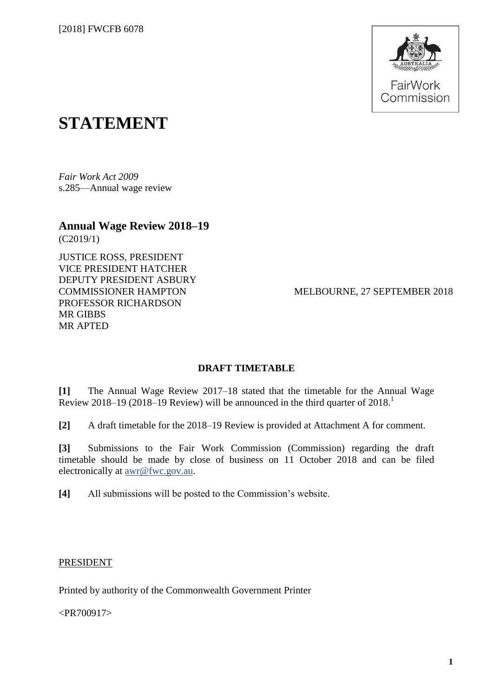

# **STATEMENT**

*Fair Work Act 2009*  s.285—Annual wage review

**Annual Wage Review 2018–19** (C2019/1)

JUSTICE ROSS, PRESIDENT VICE PRESIDENT HATCHER DEPUTY PRESIDENT ASBURY COMMISSIONER HAMPTON PROFESSOR RICHARDSON MR GIBBS MR APTED

MELBOURNE, 27 SEPTEMBER 2018

### **DRAFT TIMETABLE**

**[1]** The Annual Wage Review 2017–18 stated that the timetable for the Annual Wage Review 2018–19 (2018–19 Review) will be announced in the third quarter of 2018.

**[2]** A draft timetable for the 2018–19 Review is provided at Attachment A for comment.

**[3]** Submissions to the Fair Work Commission (Commission) regarding the draft timetable should be made by close of business on 11 October 2018 and can be filed electronically at [awr@fwc.gov.au.](mailto:awr@fwc.gov.au)

**[4]** All submissions will be posted to the Commission's website.

#### PRESIDENT

Printed by authority of the Commonwealth Government Printer

<PR700917>